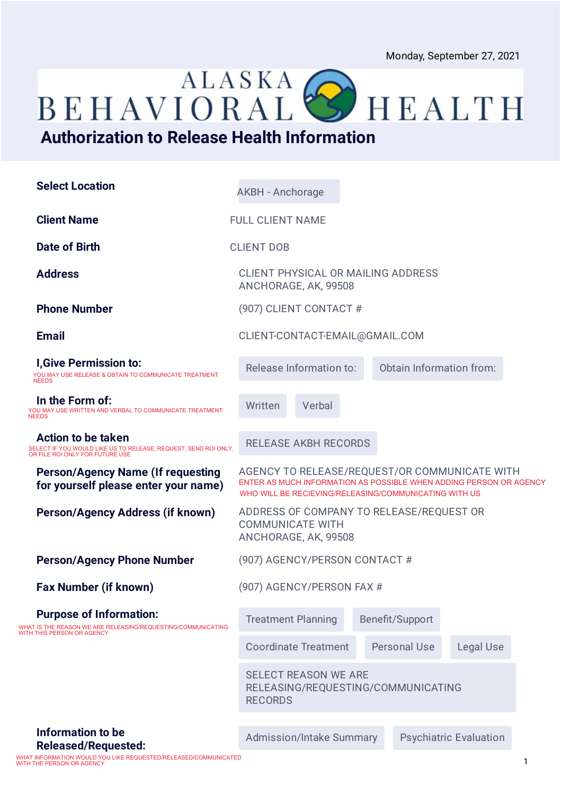BEHAVIORAL<sup>ALASKA</sup>

## **Authorization to Release Health Information**

| <b>Select Location</b>                                                                                                          | <b>AKBH</b> - Anchorage                                                                                                                                                      |                 |                               |  |  |
|---------------------------------------------------------------------------------------------------------------------------------|------------------------------------------------------------------------------------------------------------------------------------------------------------------------------|-----------------|-------------------------------|--|--|
| <b>Client Name</b>                                                                                                              | <b>FULL CLIENT NAME</b>                                                                                                                                                      |                 |                               |  |  |
| Date of Birth                                                                                                                   | <b>CLIENT DOB</b>                                                                                                                                                            |                 |                               |  |  |
| <b>Address</b>                                                                                                                  | <b>CLIENT PHYSICAL OR MAILING ADDRESS</b><br>ANCHORAGE, AK, 99508                                                                                                            |                 |                               |  |  |
| <b>Phone Number</b>                                                                                                             | (907) CLIENT CONTACT #                                                                                                                                                       |                 |                               |  |  |
| <b>Email</b>                                                                                                                    | CLIENT-CONTACT-EMAIL@GMAIL.COM                                                                                                                                               |                 |                               |  |  |
| <b>I, Give Permission to:</b><br>YOU MAY USE RELEASE & OBTAIN TO COMMUNICATE TREATMENT<br><b>NEEDS</b>                          | Release Information to:                                                                                                                                                      |                 | Obtain Information from:      |  |  |
| In the Form of:<br>YOU MAY USE WRITTEN AND VERBAL TO COMMUNICATE TREATMENT<br><b>NEEDS</b>                                      | Verbal<br>Written                                                                                                                                                            |                 |                               |  |  |
| <b>Action to be taken</b><br>SELECT IF YOU WOULD LIKE US TO RELEASE, REQUEST, SEND ROI ONLY,<br>OR FILE ROI ONLY FOR FUTURE USE | <b>RELEASE AKBH RECORDS</b>                                                                                                                                                  |                 |                               |  |  |
| <b>Person/Agency Name (If requesting</b><br>for yourself please enter your name)                                                | AGENCY TO RELEASE/REQUEST/OR COMMUNICATE WITH<br>ENTER AS MUCH INFORMATION AS POSSIBLE WHEN ADDING PERSON OR AGENCY<br>WHO WILL BE RECIEVING/RELEASING/COMMUNICATING WITH US |                 |                               |  |  |
| <b>Person/Agency Address (if known)</b>                                                                                         | ADDRESS OF COMPANY TO RELEASE/REQUEST OR<br><b>COMMUNICATE WITH</b><br>ANCHORAGE, AK, 99508                                                                                  |                 |                               |  |  |
| <b>Person/Agency Phone Number</b>                                                                                               | (907) AGENCY/PERSON CONTACT #                                                                                                                                                |                 |                               |  |  |
| <b>Fax Number (if known)</b>                                                                                                    | (907) AGENCY/PERSON FAX #                                                                                                                                                    |                 |                               |  |  |
| <b>Purpose of Information:</b><br>WHAT IS THE REASON WE ARE RELEASING/REQUESTING/COMMUNICATING                                  | <b>Treatment Planning</b>                                                                                                                                                    | Benefit/Support |                               |  |  |
| WITH THIS PERSON OR AGENCY                                                                                                      | <b>Coordinate Treatment</b>                                                                                                                                                  | Personal Use    | Legal Use                     |  |  |
|                                                                                                                                 | <b>SELECT REASON WE ARE</b><br>RELEASING/REQUESTING/COMMUNICATING<br><b>RECORDS</b>                                                                                          |                 |                               |  |  |
| Information to be                                                                                                               | Admission/Intake Summary                                                                                                                                                     |                 | <b>Psychiatric Evaluation</b> |  |  |
| <b>Released/Requested:</b>                                                                                                      |                                                                                                                                                                              |                 |                               |  |  |